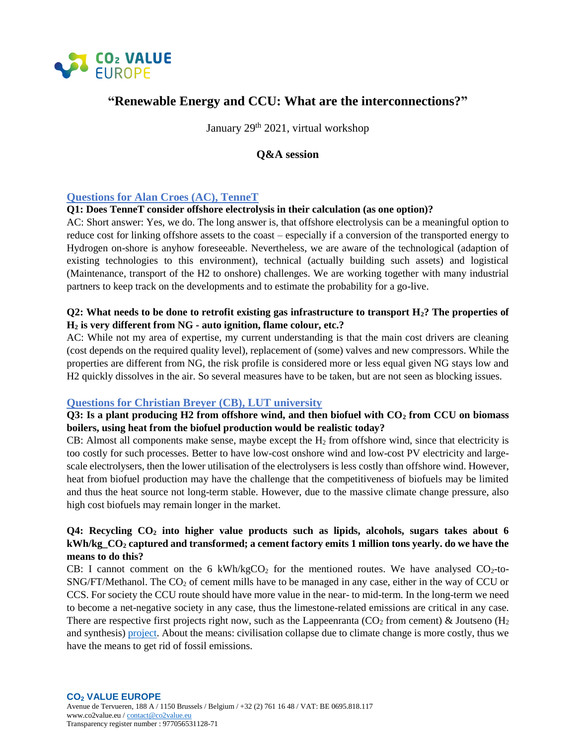

# **"Renewable Energy and CCU: What are the interconnections?"**

January 29<sup>th</sup> 2021, virtual workshop

# **Q&A session**

# **Questions for Alan Croes (AC), TenneT**

#### **Q1: Does TenneT consider offshore electrolysis in their calculation (as one option)?**

AC: Short answer: Yes, we do. The long answer is, that offshore electrolysis can be a meaningful option to reduce cost for linking offshore assets to the coast – especially if a conversion of the transported energy to Hydrogen on-shore is anyhow foreseeable. Nevertheless, we are aware of the technological (adaption of existing technologies to this environment), technical (actually building such assets) and logistical (Maintenance, transport of the H2 to onshore) challenges. We are working together with many industrial partners to keep track on the developments and to estimate the probability for a go-live.

# **Q2: What needs to be done to retrofit existing gas infrastructure to transport H2? The properties of H<sup>2</sup> is very different from NG - auto ignition, flame colour, etc.?**

AC: While not my area of expertise, my current understanding is that the main cost drivers are cleaning (cost depends on the required quality level), replacement of (some) valves and new compressors. While the properties are different from NG, the risk profile is considered more or less equal given NG stays low and H2 quickly dissolves in the air. So several measures have to be taken, but are not seen as blocking issues.

### **Questions for Christian Breyer (CB), LUT university**

**Q3: Is a plant producing H2 from offshore wind, and then biofuel with CO<sup>2</sup> from CCU on biomass boilers, using heat from the biofuel production would be realistic today?** 

CB: Almost all components make sense, maybe except the  $H_2$  from offshore wind, since that electricity is too costly for such processes. Better to have low-cost onshore wind and low-cost PV electricity and largescale electrolysers, then the lower utilisation of the electrolysers is less costly than offshore wind. However, heat from biofuel production may have the challenge that the competitiveness of biofuels may be limited and thus the heat source not long-term stable. However, due to the massive climate change pressure, also high cost biofuels may remain longer in the market.

# **Q4: Recycling CO<sup>2</sup> into higher value products such as lipids, alcohols, sugars takes about 6 kWh/kg\_CO<sup>2</sup> captured and transformed; a cement factory emits 1 million tons yearly. do we have the means to do this?**

CB: I cannot comment on the 6 kWh/kgCO<sub>2</sub> for the mentioned routes. We have analysed  $CO<sub>2</sub>$ -to- $SNG/FT/Method$ . The  $CO<sub>2</sub>$  of cement mills have to be managed in any case, either in the way of CCU or CCS. For society the CCU route should have more value in the near- to mid-term. In the long-term we need to become a net-negative society in any case, thus the limestone-related emissions are critical in any case. There are respective first projects right now, such as the Lappeenranta ( $CO<sub>2</sub>$  from cement) & Joutseno ( $H<sub>2</sub>$ ) and synthesis) [project.](https://www.lut.fi/web/en/news/-/asset_publisher/lGh4SAywhcPu/content/feasibility-study-on-synthetic-fuels-pilot-plant-in-joutseno-started) About the means: civilisation collapse due to climate change is more costly, thus we have the means to get rid of fossil emissions.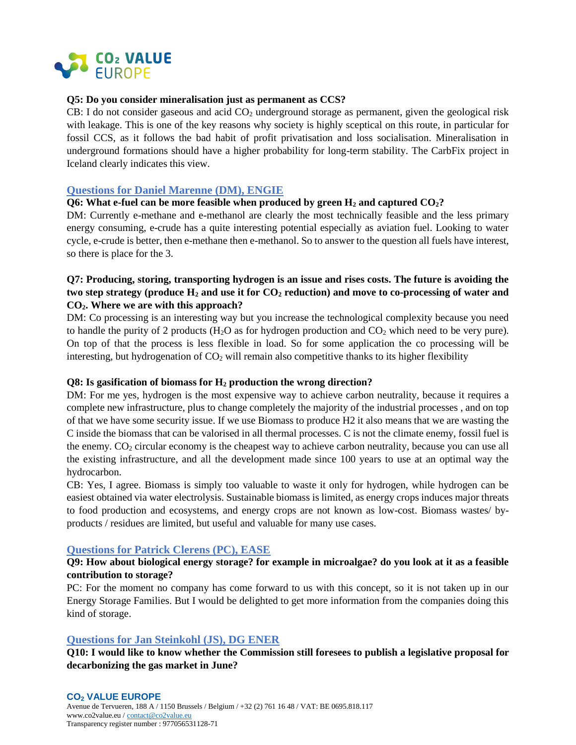

### **Q5: Do you consider mineralisation just as permanent as CCS?**

CB: I do not consider gaseous and acid  $CO<sub>2</sub>$  underground storage as permanent, given the geological risk with leakage. This is one of the key reasons why society is highly sceptical on this route, in particular for fossil CCS, as it follows the bad habit of profit privatisation and loss socialisation. Mineralisation in underground formations should have a higher probability for long-term stability. The CarbFix project in Iceland clearly indicates this view.

### **Questions for Daniel Marenne (DM), ENGIE**

#### **Q6: What e-fuel can be more feasible when produced by green H<sup>2</sup> and captured CO2?**

DM: Currently e-methane and e-methanol are clearly the most technically feasible and the less primary energy consuming, e-crude has a quite interesting potential especially as aviation fuel. Looking to water cycle, e-crude is better, then e-methane then e-methanol. So to answer to the question all fuels have interest, so there is place for the 3.

# **Q7: Producing, storing, transporting hydrogen is an issue and rises costs. The future is avoiding the two step strategy (produce H<sup>2</sup> and use it for CO<sup>2</sup> reduction) and move to co-processing of water and CO2. Where we are with this approach?**

DM: Co processing is an interesting way but you increase the technological complexity because you need to handle the purity of 2 products ( $H_2O$  as for hydrogen production and  $CO_2$  which need to be very pure). On top of that the process is less flexible in load. So for some application the co processing will be interesting, but hydrogenation of  $CO<sub>2</sub>$  will remain also competitive thanks to its higher flexibility

#### **Q8: Is gasification of biomass for H<sup>2</sup> production the wrong direction?**

DM: For me yes, hydrogen is the most expensive way to achieve carbon neutrality, because it requires a complete new infrastructure, plus to change completely the majority of the industrial processes , and on top of that we have some security issue. If we use Biomass to produce H2 it also means that we are wasting the C inside the biomass that can be valorised in all thermal processes. C is not the climate enemy, fossil fuel is the enemy. CO<sub>2</sub> circular economy is the cheapest way to achieve carbon neutrality, because you can use all the existing infrastructure, and all the development made since 100 years to use at an optimal way the hydrocarbon.

CB: Yes, I agree. Biomass is simply too valuable to waste it only for hydrogen, while hydrogen can be easiest obtained via water electrolysis. Sustainable biomass is limited, as energy crops induces major threats to food production and ecosystems, and energy crops are not known as low-cost. Biomass wastes/ byproducts / residues are limited, but useful and valuable for many use cases.

### **Questions for Patrick Clerens (PC), EASE**

### **Q9: How about biological energy storage? for example in microalgae? do you look at it as a feasible contribution to storage?**

PC: For the moment no company has come forward to us with this concept, so it is not taken up in our Energy Storage Families. But I would be delighted to get more information from the companies doing this kind of storage.

### **Questions for Jan Steinkohl (JS), DG ENER**

**Q10: I would like to know whether the Commission still foresees to publish a legislative proposal for decarbonizing the gas market in June?**